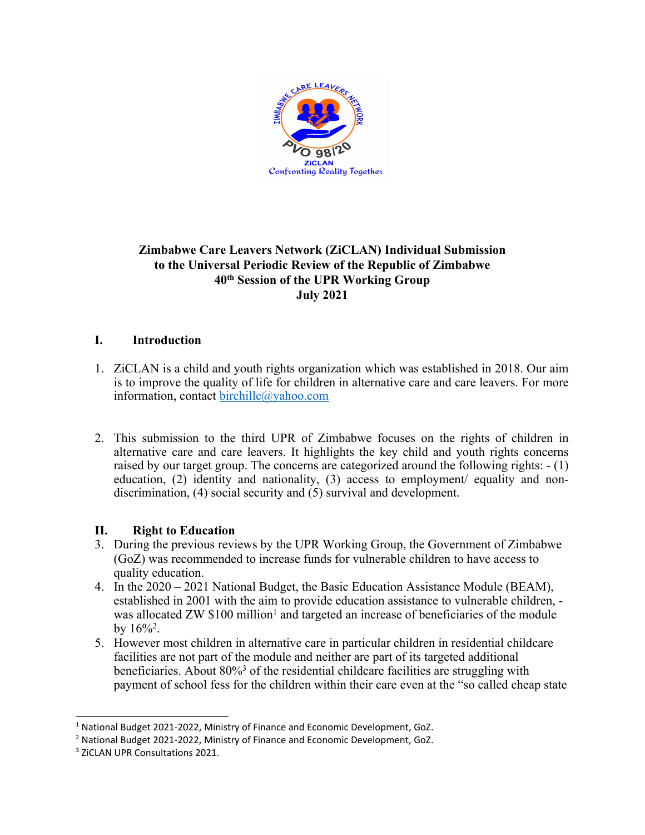

# **Zimbabwe Care Leavers Network (ZiCLAN) Individual Submission to the Universal Periodic Review of the Republic of Zimbabwe 40th Session of the UPR Working Group July 2021**

## **I. Introduction**

- 1. ZiCLAN is <sup>a</sup> child and youth rights organization which was established in 2018. Our aim is to improve the quality of life for children in alternative care and care leavers. For more information, contact [birchillc@yahoo.com](mailto:birchillc@yahoo.com)
- 2. This submission to the third UPR of Zimbabwe focuses on the rights of children in alternative care and care leavers. It highlights the key child and youth rights concerns raised by our target group. The concerns are categorized around the following rights: - (1) education, (2) identity and nationality, (3) access to employment/ equality and nondiscrimination, (4) social security and (5) survival and development.

### **II. Right to Education**

- 3. During the previous reviews by the UPR Working Group, the Government of Zimbabwe (GoZ) was recommended to increase funds for vulnerable children to have access to quality education.
- 4. In the 2020 2021 National Budget, the Basic Education Assistance Module (BEAM), established in 2001 with the aim to provide education assistance to vulnerable children, was allocated ZW  $$100$  million<sup>1</sup> and targeted an increase of beneficiaries of the module by  $16\%$ <sup>2</sup>.
- 5. However most children in alternative care in particular children in residential childcare facilities are not par<sup>t</sup> of the module and neither are par<sup>t</sup> of its targeted additional beneficiaries. About 80%<sup>3</sup> of the residential childcare facilities are struggling with paymen<sup>t</sup> of school fess for the children within their care even at the "so called cheap state

<sup>&</sup>lt;sup>1</sup> National Budget 2021-2022, Ministry of Finance and Economic Development, GoZ.

<sup>2</sup> National Budget 2021-2022, Ministry of Finance and Economic Development, GoZ.

<sup>&</sup>lt;sup>3</sup> ZiCLAN UPR Consultations 2021.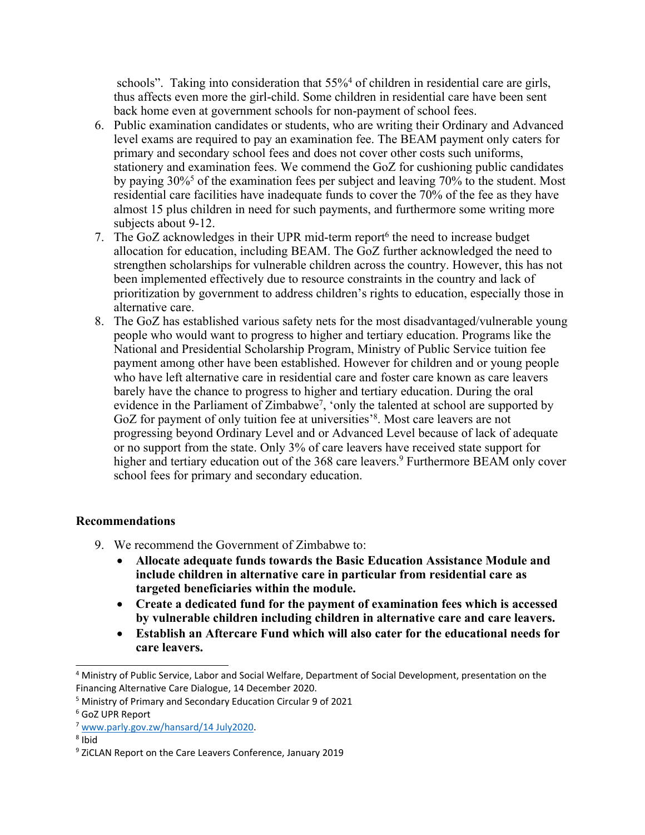schools". Taking into consideration that 55%<sup>4</sup> of children in residential care are girls, thus affects even more the girl-child. Some children in residential care have been sent back home even at governmen<sup>t</sup> schools for non-paymen<sup>t</sup> of school fees.

- 6. Public examination candidates or students, who are writing their Ordinary and Advanced level exams are required to pay an examination fee. The BEAM paymen<sup>t</sup> only caters for primary and secondary school fees and does not cover other costs such uniforms, stationery and examination fees. We commend the GoZ for cushioning public candidates by paying 30%<sup>5</sup> of the examination fees per subject and leaving 70% to the student. Most residential care facilities have inadequate funds to cover the 70% of the fee as they have almost 15 plus children in need for such payments, and furthermore some writing more subjects about 9-12.
- 7. The GoZ acknowledges in their UPR mid-term repor<sup>t</sup> 6 the need to increase budget allocation for education, including BEAM. The GoZ further acknowledged the need to strengthen scholarships for vulnerable children across the country. However, this has not been implemented effectively due to resource constraints in the country and lack of prioritization by governmen<sup>t</sup> to address children'<sup>s</sup> rights to education, especially those in alternative care.
- 8. The GoZ has established various safety nets for the most disadvantaged/vulnerable young people who would want to progress to higher and tertiary education. Programs like the National and Presidential Scholarship Program, Ministry of Public Service tuition fee paymen<sup>t</sup> among other have been established. However for children and or young people who have left alternative care in residential care and foster care known as care leavers barely have the chance to progress to higher and tertiary education. During the oral evidence in the Parliament of Zimbabwe<sup>7</sup>, 'only the talented at school are supported by GoZ for paymen<sup>t</sup> of only tuition fee at universities' 8 . Most care leavers are not progressing beyond Ordinary Level and or Advanced Level because of lack of adequate or no suppor<sup>t</sup> from the state. Only 3% of care leavers have received state suppor<sup>t</sup> for higher and tertiary education out of the 368 care leavers. 9 Furthermore BEAM only cover school fees for primary and secondary education.

### **Recommendations**

- 9. We recommend the Government of Zimbabwe to:
	- $\bullet$  **Allocate adequate funds towards the Basic Education Assistance Module and include children in alternative care in particular from residential care as targeted beneficiaries within the module.**
	- **Create <sup>a</sup> dedicated fund for the payment of examination fees which is accessed by vulnerable children including children in alternative care and care leavers.**
	- **Establish an Aftercare Fund which will also cater for the educational needs for care leavers.**

8 Ibid

<sup>4</sup> Ministry of Public Service, Labor and Social Welfare, Department of Social Development, presentation on the Financing Alternative Care Dialogue, 14 December 2020.

<sup>5</sup> Ministry of Primary and Secondary Education Circular <sup>9</sup> of <sup>2021</sup>

<sup>6</sup> GoZ UPR Report

<sup>7</sup> [www.parly.gov.zw/hansard/14](http://www.parly.gov.zw/hansard/14%20July2020) July2020.

<sup>&</sup>lt;sup>9</sup> ZiCLAN Report on the Care Leavers Conference, January 2019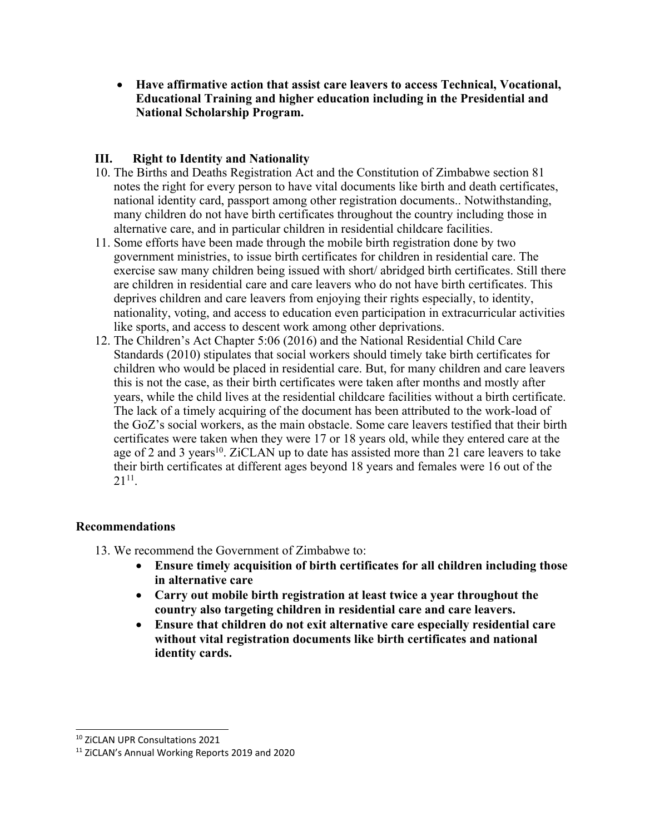**Have affirmative action that assist care leavers to access Technical, Vocational, Educational Training and higher education including in the Presidential and National Scholarship Program.**

## **III. Right to Identity and Nationality**

- 10. The Births and Deaths Registration Act and the Constitution of Zimbabwe section 81 notes the right for every person to have vital documents like birth and death certificates, national identity card, passpor<sup>t</sup> among other registration documents.. Notwithstanding, many children do not have birth certificates throughout the country including those in alternative care, and in particular children in residential childcare facilities.
- 11. Some efforts have been made through the mobile birth registration done by two governmen<sup>t</sup> ministries, to issue birth certificates for children in residential care. The exercise saw many children being issued with short/ abridged birth certificates. Still there are children in residential care and care leavers who do not have birth certificates. This deprives children and care leavers from enjoying their rights especially, to identity, nationality, voting, and access to education even participation in extracurricular activities like sports, and access to descent work among other deprivations.
- 12. The Children'<sup>s</sup> Act Chapter 5:06 (2016) and the National Residential Child Care Standards (2010) stipulates that social workers should timely take birth certificates for children who would be placed in residential care. But, for many children and care leavers this is not the case, as their birth certificates were taken after months and mostly after years, while the child lives at the residential childcare facilities without <sup>a</sup> birth certificate. The lack of <sup>a</sup> timely acquiring of the document has been attributed to the work-load of the GoZ'<sup>s</sup> social workers, as the main obstacle. Some care leavers testified that their birth certificates were taken when they were 17 or 18 years old, while they entered care at the age of 2 and 3 years<sup>10</sup>. ZiCLAN up to date has assisted more than 21 care leavers to take their birth certificates at different ages beyond 18 years and females were 16 out of the  $21^{11}$ .

### **Recommendations**

- 13. We recommend the Government of Zimbabwe to:
	- $\bullet$  **Ensure timely acquisition of birth certificates for all children including those in alternative care**
	- **Carry out mobile birth registration at least twice <sup>a</sup> year throughout the country also targeting children in residential care and care leavers.**
	- $\bullet$  **Ensure that children do not exit alternative care especially residential care without vital registration documents like birth certificates and national identity cards.**

<sup>10</sup> ZiCLAN UPR Consultations 2021

<sup>&</sup>lt;sup>11</sup> ZiCLAN's Annual Working Reports 2019 and 2020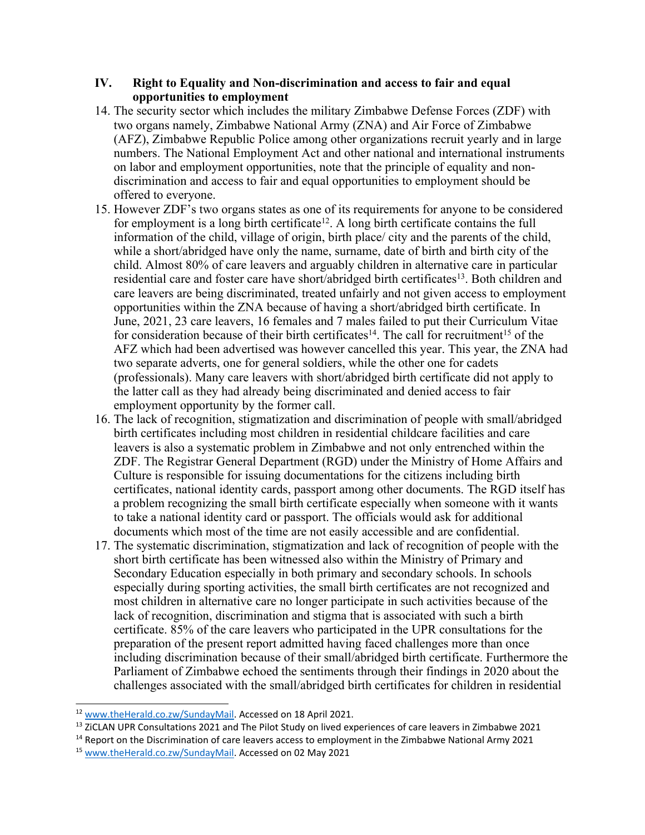### **IV. Right to Equality and Non-discrimination and access to fair and equal opportunities to employment**

- 14. The security sector which includes the military Zimbabwe Defense Forces (ZDF) with two organs namely, Zimbabwe National Army (ZNA) and Air Force of Zimbabwe (AFZ), Zimbabwe Republic Police among other organizations recruit yearly and in large numbers. The National Employment Act and other national and international instruments on labor and employment opportunities, note that the principle of equality and nondiscrimination and access to fair and equal opportunities to employment should be offered to everyone.
- 15. However ZDF'<sup>s</sup> two organs states as one of its requirements for anyone to be considered for employment is a long birth certificate<sup>12</sup>. A long birth certificate contains the full information of the child, village of origin, birth place/ city and the parents of the child, while <sup>a</sup> short/abridged have only the name, surname, date of birth and birth city of the child. Almost 80% of care leavers and arguably children in alternative care in particular residential care and foster care have short/abridged birth certificates<sup>13</sup>. Both children and care leavers are being discriminated, treated unfairly and not given access to employment opportunities within the ZNA because of having <sup>a</sup> short/abridged birth certificate. In June, 2021, 23 care leavers, 16 females and 7 males failed to pu<sup>t</sup> their Curriculum Vitae for consideration because of their birth certificates<sup>14</sup>. The call for recruitment<sup>15</sup> of the AFZ which had been advertised was however cancelled this year. This year, the ZNA had two separate adverts, one for general soldiers, while the other one for cadets (professionals). Many care leavers with short/abridged birth certificate did not apply to the latter call as they had already being discriminated and denied access to fair employment opportunity by the former call.
- 16. The lack of recognition, stigmatization and discrimination of people with small/abridged birth certificates including most children in residential childcare facilities and care leavers is also <sup>a</sup> systematic problem in Zimbabwe and not only entrenched within the ZDF. The Registrar General Department (RGD) under the Ministry of Home Affairs and Culture is responsible for issuing documentations for the citizens including birth certificates, national identity cards, passpor<sup>t</sup> among other documents. The RGD itself has <sup>a</sup> problem recognizing the small birth certificate especially when someone with it wants to take <sup>a</sup> national identity card or passport. The officials would ask for additional documents which most of the time are not easily accessible and are confidential.
- 17. The systematic discrimination, stigmatization and lack of recognition of people with the short birth certificate has been witnessed also within the Ministry of Primary and Secondary Education especially in both primary and secondary schools. In schools especially during sporting activities, the small birth certificates are not recognized and most children in alternative care no longer participate in such activities because of the lack of recognition, discrimination and stigma that is associated with such <sup>a</sup> birth certificate. 85% of the care leavers who participated in the UPR consultations for the preparation of the presen<sup>t</sup> repor<sup>t</sup> admitted having faced challenges more than once including discrimination because of their small/abridged birth certificate. Furthermore the Parliament of Zimbabwe echoed the sentiments through their findings in 2020 about the challenges associated with the small/abridged birth certificates for children in residential

 $^{\rm 14}$  Report on the Discrimination of care leavers access to employment in the Zimbabwe National Army 2021

<sup>&</sup>lt;sup>12</sup> [www.theHerald.co.zw/SundayMail](http://www.theHerald.co.zw/SundayMail). Accessed on 18 April 2021.

<sup>&</sup>lt;sup>13</sup> ZiCLAN UPR Consultations 2021 and The Pilot Study on lived experiences of care leavers in Zimbabwe 2021

<sup>&</sup>lt;sup>15</sup> [www.theHerald.co.zw/SundayMail](http://www.theHerald.co.zw/SundayMail). Accessed on 02 May 2021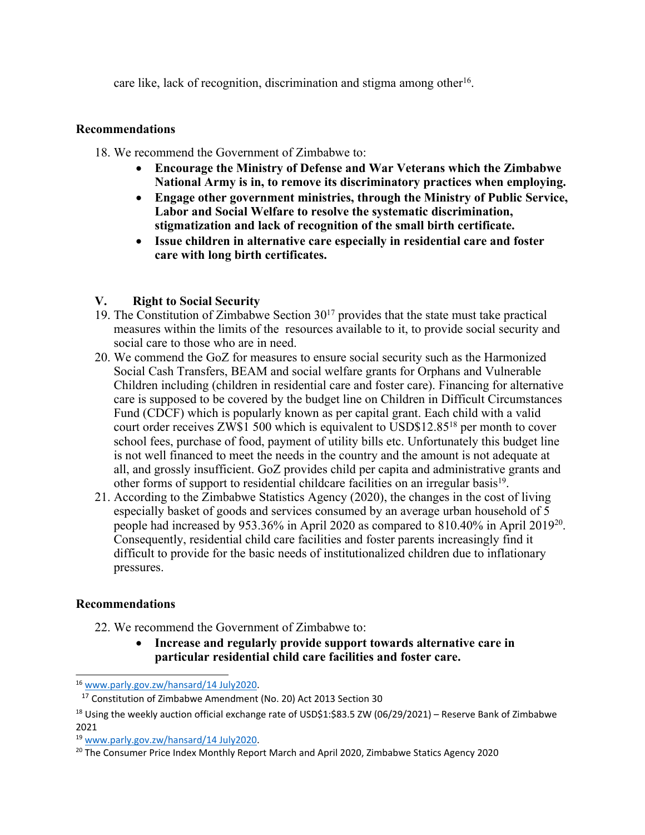care like, lack of recognition, discrimination and stigma among other 16 .

#### **Recommendations**

- 18. We recommend the Government of Zimbabwe to:
	- . **Encourage the Ministry of Defense and War Veterans which the Zimbabwe National Army is in, to remove its discriminatory practices when employing.**
	- $\bullet$  **Engage other government ministries, through the Ministry of Public Service, Labor and Social Welfare to resolve the systematic discrimination, stigmatization and lack of recognition of the small birth certificate.**
	- **Issue children in alternative care especially in residential care and foster care with long birth certificates.**

### **V. Right to Social Security**

- 19. The Constitution of Zimbabwe Section  $30^{17}$  provides that the state must take practical measures within the limits of the resources available to it, to provide social security and social care to those who are in need.
- 20. We commend the GoZ for measures to ensure social security such as the Harmonized Social Cash Transfers, BEAM and social welfare grants for Orphans and Vulnerable Children including (children in residential care and foster care). Financing for alternative care is supposed to be covered by the budget line on Children in Difficult Circumstances Fund (CDCF) which is popularly known as per capital grant. Each child with <sup>a</sup> valid court order receives ZW\$1 500 which is equivalent to USD\$12.85<sup>18</sup> per month to cover school fees, purchase of food, paymen<sup>t</sup> of utility bills etc. Unfortunately this budget line is not well financed to meet the needs in the country and the amount is not adequate at all, and grossly insufficient. GoZ provides child per capita and administrative grants and other forms of support to residential childcare facilities on an irregular basis<sup>19</sup>.
- 21. According to the Zimbabwe Statistics Agency (2020), the changes in the cost of living especially basket of goods and services consumed by an average urban household of 5 people had increased by 953.36% in April 2020 as compared to 810.40% in April 2019<sup>20</sup> . Consequently, residential child care facilities and foster parents increasingly find it difficult to provide for the basic needs of institutionalized children due to inflationary pressures.

### **Recommendations**

- 22. We recommend the Government of Zimbabwe to:
	- $\bullet$  **Increase and regularly provide support towards alternative care in particular residential child care facilities and foster care.**

<sup>&</sup>lt;sup>16</sup> [www.parly.gov.zw/hansard/14](http://www.parly.gov.zw/hansard/14%20July2020) July2020.

<sup>&</sup>lt;sup>17</sup> Constitution of Zimbabwe Amendment (No. 20) Act 2013 Section 30

<sup>&</sup>lt;sup>18</sup> Using the weekly auction official exchange rate of USD\$1:\$83.5 ZW (06/29/2021) – Reserve Bank of Zimbabwe 2021

<sup>&</sup>lt;sup>19</sup> [www.parly.gov.zw/hansard/14](http://www.parly.gov.zw/hansard/14%20July2020) July2020.

<sup>&</sup>lt;sup>20</sup> The Consumer Price Index Monthly Report March and April 2020, Zimbabwe Statics Agency 2020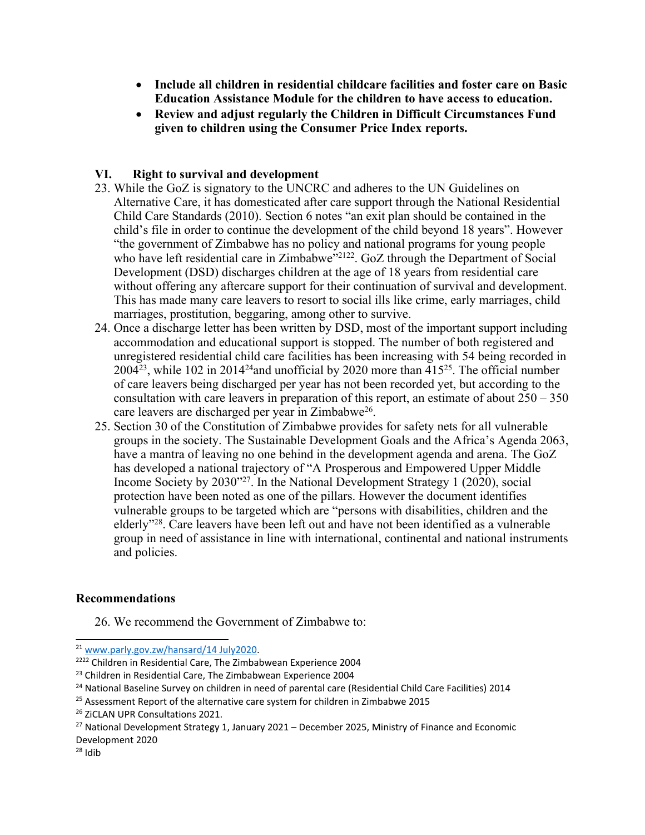- **Include all children in residential childcare facilities and foster care on Basic Education Assistance Module for the children to have access to education.**
- $\bullet$  **Review and adjust regularly the Children in Difficult Circumstances Fund given to children using the Consumer Price Index reports.**

## **VI. Right to survival and development**

- 23. While the GoZ is signatory to the UNCRC and adheres to the UN Guidelines on Alternative Care, it has domesticated after care suppor<sup>t</sup> through the National Residential Child Care Standards (2010). Section 6 notes "an exit plan should be contained in the child'<sup>s</sup> file in order to continue the development of the child beyond 18 years". However "the governmen<sup>t</sup> of Zimbabwe has no policy and national programs for young people who have left residential care in Zimbabwe"<sup>2122</sup>. GoZ through the Department of Social Development (DSD) discharges children at the age of 18 years from residential care without offering any aftercare suppor<sup>t</sup> for their continuation of survival and development. This has made many care leavers to resort to social ills like crime, early marriages, child marriages, prostitution, beggaring, among other to survive.
- 24. Once <sup>a</sup> discharge letter has been written by DSD, most of the important suppor<sup>t</sup> including accommodation and educational suppor<sup>t</sup> is stopped. The number of both registered and unregistered residential child care facilities has been increasing with 54 being recorded in  $2004^{23}$ , while 102 in 2014<sup>24</sup>and unofficial by 2020 more than 415<sup>25</sup>. The official number of care leavers being discharged per year has not been recorded yet, but according to the consultation with care leavers in preparation of this report, an estimate of about  $250 - 350$ care leavers are discharged per year in Zimbabwe<sup>26</sup> .
- 25. Section 30 of the Constitution of Zimbabwe provides for safety nets for all vulnerable groups in the society. The Sustainable Development Goals and the Africa'<sup>s</sup> Agenda 2063, have <sup>a</sup> mantra of leaving no one behind in the development agenda and arena. The GoZ has developed <sup>a</sup> national trajectory of "A Prosperous and Empowered Upper Middle Income Society by 2030"<sup>27</sup> . In the National Development Strategy 1 (2020), social protection have been noted as one of the pillars. However the document identifies vulnerable groups to be targeted which are "persons with disabilities, children and the elderly"<sup>28</sup>. Care leavers have been left out and have not been identified as a vulnerable group in need of assistance in line with international, continental and national instruments and policies.

### **Recommendations**

26. We recommend the Government of Zimbabwe to:

<sup>&</sup>lt;sup>21</sup> [www.parly.gov.zw/hansard/14](http://www.parly.gov.zw/hansard/14%20July2020) July2020.

<sup>&</sup>lt;sup>2222</sup> Children in Residential Care, The Zimbabwean Experience 2004

<sup>&</sup>lt;sup>23</sup> Children in Residential Care, The Zimbabwean Experience 2004

<sup>&</sup>lt;sup>24</sup> National Baseline Survey on children in need of parental care (Residential Child Care Facilities) 2014

<sup>&</sup>lt;sup>25</sup> Assessment Report of the alternative care system for children in Zimbabwe 2015

<sup>&</sup>lt;sup>26</sup> ZiCLAN UPR Consultations 2021.

<sup>&</sup>lt;sup>27</sup> National Development Strategy 1, January 2021 – December 2025, Ministry of Finance and Economic Development 2020